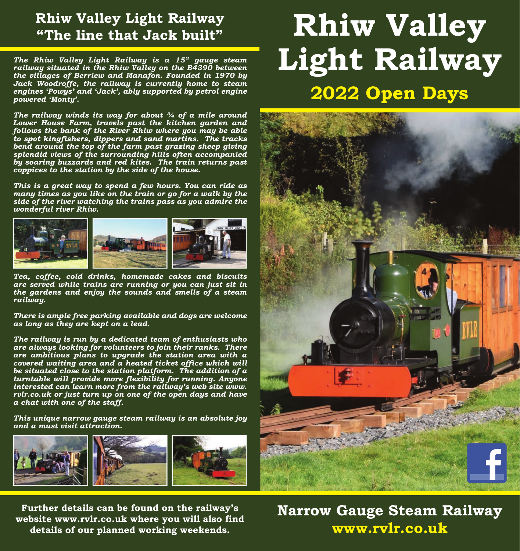## **Rhiw Valley Light Railway "The line that Jack built"**

*The Rhiw Valley Light Railway is a 15" gauge steam railway situated in the Rhiw Valley on the B4390 between the villages of Berriew and Manafon. Founded in 1970 by Jack Woodroffe, the railway is currently home to steam engines 'Powys' and 'Jack', ably supported by petrol engine powered 'Monty'.*

*The railway winds its way for about ¾ of a mile around Lower House Farm, travels past the kitchen garden and follows the bank of the River Rhiw where you may be able bend around the top of the farm past grazing sheep giving splendid views of the surrounding hills often accompanied by soaring buzzards and red kites. The train returns past coppices to the station by the side of the house.*

*This is a great way to spend a few hours. You can ride as many times as you like on the train or go for a walk by the side of the river watching the trains pass as you admire the wonderful river Rhiw.*



*Tea, coffee, cold drinks, homemade cakes and biscuits are served while trains are running or you can just sit in the gardens and enjoy the sounds and smells of a steam railway.*

*There is ample free parking available and dogs are welcome as long as they are kept on a lead.*

*The railway is run by a dedicated team of enthusiasts who are always looking for volunteers to join their ranks. There are ambitious plans to upgrade the station area with a be situated close to the station platform. The addition of a interested can learn more from the railway's web site www. rvlr.co.uk or just turn up on one of the open days and have a chat with one of the staff.*

*This unique narrow gauge steam railway is an absolute joy and a must visit attraction.*



## **Rhiw Valley Light Railway 2022 Open Days**



**Further details can be found on the railway's website www.rvlr.co.uk where you will also find details of our planned working weekends.**

**Narrow Gauge Steam Railway www.rvlr.co.uk**